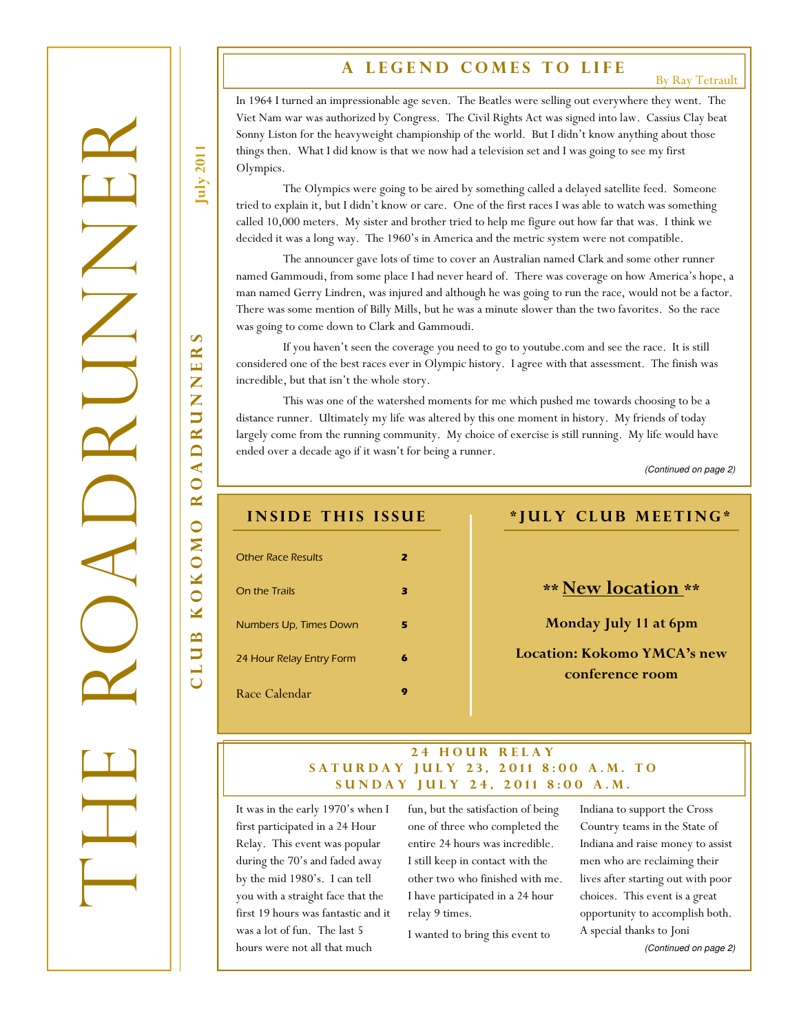# A LEGEND COMES TO LIFE

By Ray Tetrault

In 1964 I turned an impressionable age seven. The Beatles were selling out everywhere they went. The Viet Nam war was authorized by Congress. The Civil Rights Act was signed into law. Cassius Clay beat Sonny Liston for the heavyweight championship of the world. But I didn't know anything about those things then. What I did know is that we now had a television set and I was going to see my first Olympics.

 The Olympics were going to be aired by something called a delayed satellite feed. Someone tried to explain it, but I didn't know or care. One of the first races I was able to watch was something called 10,000 meters. My sister and brother tried to help me figure out how far that was. I think we decided it was a long way. The 1960's in America and the metric system were not compatible.

 The announcer gave lots of time to cover an Australian named Clark and some other runner named Gammoudi, from some place I had never heard of. There was coverage on how America's hope, a man named Gerry Lindren, was injured and although he was going to run the race, would not be a factor. There was some mention of Billy Mills, but he was a minute slower than the two favorites. So the race was going to come down to Clark and Gammoudi.

 If you haven't seen the coverage you need to go to youtube.com and see the race. It is still considered one of the best races ever in Olympic history. I agree with that assessment. The finish was incredible, but that isn't the whole story.

 This was one of the watershed moments for me which pushed me towards choosing to be a distance runner. Ultimately my life was altered by this one moment in history. My friends of today largely come from the running community. My choice of exercise is still running. My life would have ended over a decade ago if it wasn't for being a runner.

(Continued on page 2)

| <b>INSIDE THIS ISSUE</b>  |                         | *JULY CLUB MEETING*                            |
|---------------------------|-------------------------|------------------------------------------------|
| <b>Other Race Results</b> | $\overline{\mathbf{z}}$ |                                                |
| On the Trails             | з                       | <b>** New location **</b>                      |
| Numbers Up, Times Down    | 5                       | Monday July 11 at 6pm                          |
| 24 Hour Relay Entry Form  | 6                       | Location: Kokomo YMCA's new<br>conference room |
| Race Calendar             | 9                       |                                                |

### 24 HOUR RELAY SATURDAY JULY 23, 2011 8:00 A.M. TO SUNDAY JULY 24, 2011 8:00 A.M.

It was in the early 1970's when I first participated in a 24 Hour Relay. This event was popular during the 70's and faded away by the mid 1980's. I can tell you with a straight face that the first 19 hours was fantastic and it was a lot of fun. The last 5 hours were not all that much

fun, but the satisfaction of being one of three who completed the entire 24 hours was incredible. I still keep in contact with the other two who finished with me. I have participated in a 24 hour relay 9 times.

I wanted to bring this event to

Indiana to support the Cross Country teams in the State of Indiana and raise money to assist men who are reclaiming their lives after starting out with poor choices. This event is a great opportunity to accomplish both. A special thanks to Joni (Continued on page 2)

July 2011

c l u b k o k o m o r o a d r u n n e r s  $\mathbf{v}$  $\mathbf{\underline{\mathsf{K}}}$  $\mathbf{H}$ Z Z **RU**  $\overline{\mathbf{D}}$  $\triangleleft$ R<sub>O</sub> OKOMO  $\overline{\mathbf{M}}$ LUB

THE ROADRUMER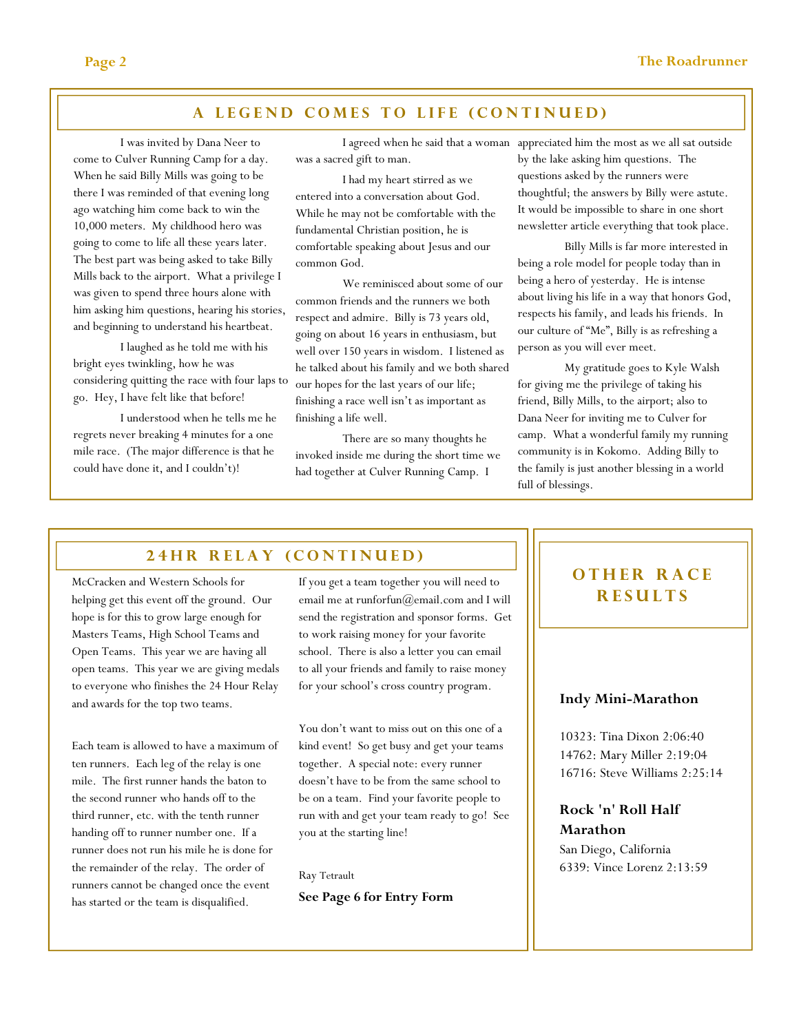### A LEGEND COMES TO LIFE (CONTINUED)

 I was invited by Dana Neer to come to Culver Running Camp for a day. When he said Billy Mills was going to be there I was reminded of that evening long ago watching him come back to win the 10,000 meters. My childhood hero was going to come to life all these years later. The best part was being asked to take Billy Mills back to the airport. What a privilege I was given to spend three hours alone with him asking him questions, hearing his stories, and beginning to understand his heartbeat.

 I laughed as he told me with his bright eyes twinkling, how he was considering quitting the race with four laps to go. Hey, I have felt like that before!

 I understood when he tells me he regrets never breaking 4 minutes for a one mile race. (The major difference is that he could have done it, and I couldn't)!

 I agreed when he said that a woman appreciated him the most as we all sat outside was a sacred gift to man.

 I had my heart stirred as we entered into a conversation about God. While he may not be comfortable with the fundamental Christian position, he is comfortable speaking about Jesus and our common God.

 We reminisced about some of our common friends and the runners we both respect and admire. Billy is 73 years old, going on about 16 years in enthusiasm, but well over 150 years in wisdom. I listened as he talked about his family and we both shared our hopes for the last years of our life; finishing a race well isn't as important as finishing a life well.

 There are so many thoughts he invoked inside me during the short time we had together at Culver Running Camp. I

by the lake asking him questions. The questions asked by the runners were thoughtful; the answers by Billy were astute. It would be impossible to share in one short newsletter article everything that took place.

 Billy Mills is far more interested in being a role model for people today than in being a hero of yesterday. He is intense about living his life in a way that honors God, respects his family, and leads his friends. In our culture of "Me", Billy is as refreshing a person as you will ever meet.

 My gratitude goes to Kyle Walsh for giving me the privilege of taking his friend, Billy Mills, to the airport; also to Dana Neer for inviting me to Culver for camp. What a wonderful family my running community is in Kokomo. Adding Billy to the family is just another blessing in a world full of blessings.

## 24 HR RELAY (CONTINUED)

McCracken and Western Schools for helping get this event off the ground. Our hope is for this to grow large enough for Masters Teams, High School Teams and Open Teams. This year we are having all open teams. This year we are giving medals to everyone who finishes the 24 Hour Relay and awards for the top two teams.

Each team is allowed to have a maximum of ten runners. Each leg of the relay is one mile. The first runner hands the baton to the second runner who hands off to the third runner, etc. with the tenth runner handing off to runner number one. If a runner does not run his mile he is done for the remainder of the relay. The order of runners cannot be changed once the event has started or the team is disqualified.

If you get a team together you will need to email me at runforfun@email.com and I will send the registration and sponsor forms. Get to work raising money for your favorite school. There is also a letter you can email to all your friends and family to raise money for your school's cross country program.

You don't want to miss out on this one of a kind event! So get busy and get your teams together. A special note: every runner doesn't have to be from the same school to be on a team. Find your favorite people to run with and get your team ready to go! See you at the starting line!

Ray Tetrault See Page 6 for Entry Form

# OTHER RACE **RESULTS**

### Indy Mini-Marathon

10323: Tina Dixon 2:06:40 14762: Mary Miller 2:19:04 16716: Steve Williams 2:25:14

Rock 'n' Roll Half Marathon San Diego, California

6339: Vince Lorenz 2:13:59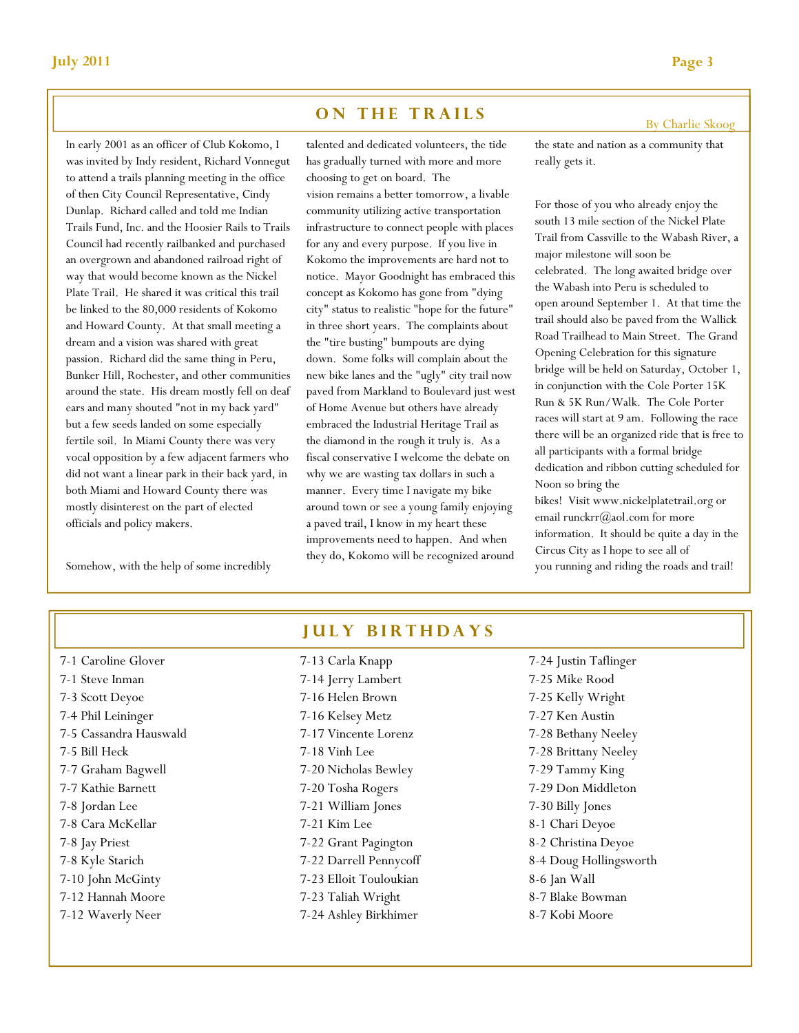### ON THE TRAILS

In early 2001 as an officer of Club Kokomo, I was invited by Indy resident, Richard Vonnegut to attend a trails planning meeting in the office of then City Council Representative, Cindy Dunlap. Richard called and told me Indian Trails Fund, Inc. and the Hoosier Rails to Trails Council had recently railbanked and purchased an overgrown and abandoned railroad right of way that would become known as the Nickel Plate Trail. He shared it was critical this trail be linked to the 80,000 residents of Kokomo and Howard County. At that small meeting a dream and a vision was shared with great passion. Richard did the same thing in Peru, Bunker Hill, Rochester, and other communities around the state. His dream mostly fell on deaf ears and many shouted "not in my back yard" but a few seeds landed on some especially fertile soil. In Miami County there was very vocal opposition by a few adjacent farmers who did not want a linear park in their back yard, in both Miami and Howard County there was mostly disinterest on the part of elected officials and policy makers.

Somehow, with the help of some incredibly

talented and dedicated volunteers, the tide has gradually turned with more and more choosing to get on board. The vision remains a better tomorrow, a livable community utilizing active transportation infrastructure to connect people with places for any and every purpose. If you live in Kokomo the improvements are hard not to notice. Mayor Goodnight has embraced this concept as Kokomo has gone from "dying city" status to realistic "hope for the future" in three short years. The complaints about the "tire busting" bumpouts are dying down. Some folks will complain about the new bike lanes and the "ugly" city trail now paved from Markland to Boulevard just west of Home Avenue but others have already embraced the Industrial Heritage Trail as the diamond in the rough it truly is. As a fiscal conservative I welcome the debate on why we are wasting tax dollars in such a manner. Every time I navigate my bike around town or see a young family enjoying a paved trail, I know in my heart these improvements need to happen. And when they do, Kokomo will be recognized around

the state and nation as a community that really gets it.

For those of you who already enjoy the south 13 mile section of the Nickel Plate Trail from Cassville to the Wabash River, a major milestone will soon be celebrated. The long awaited bridge over the Wabash into Peru is scheduled to open around September 1. At that time the trail should also be paved from the Wallick Road Trailhead to Main Street. The Grand Opening Celebration for this signature bridge will be held on Saturday, October 1, in conjunction with the Cole Porter 15K Run & 5K Run/Walk. The Cole Porter races will start at 9 am. Following the race there will be an organized ride that is free to all participants with a formal bridge dedication and ribbon cutting scheduled for Noon so bring the bikes! Visit www.nickelplatetrail.org or

email runckrr@aol.com for more information. It should be quite a day in the Circus City as I hope to see all of you running and riding the roads and trail!

| 7-1 Caroline Glover    |  |  |  |
|------------------------|--|--|--|
| 7-1 Steve Inman        |  |  |  |
| 7-3 Scott Deyoe        |  |  |  |
| 7-4 Phil Leininger     |  |  |  |
| 7-5 Cassandra Hauswald |  |  |  |
| 7-5 Bill Heck          |  |  |  |
| 7-7 Graham Bagwell     |  |  |  |
| 7-7 Kathie Barnett     |  |  |  |
| 7-8 Jordan Lee         |  |  |  |
| 7-8 Cara McKellar      |  |  |  |
| 7-8 Jay Priest         |  |  |  |
| 7-8 Kyle Starich       |  |  |  |
| 7-10 John McGinty      |  |  |  |
| 7-12 Hannah Moore      |  |  |  |
| 7-12 Waverly Neer      |  |  |  |

# **JULY BIRTHDAYS**

7-13 Carla Knapp 7-14 Jerry Lambert 7-16 Helen Brown 7-16 Kelsey Metz 7-17 Vincente Lorenz 7-18 Vinh Lee 7-20 Nicholas Bewley 7-20 Tosha Rogers 7-21 William Jones 7-21 Kim Lee 7-22 Grant Pagington 7-22 Darrell Pennycoff 7-23 Elloit Touloukian 7-23 Taliah Wright 7-24 Ashley Birkhimer

7-24 Justin Taflinger 7-25 Mike Rood 7-25 Kelly Wright 7-27 Ken Austin 7-28 Bethany Neeley 7-28 Brittany Neeley 7-29 Tammy King 7-29 Don Middleton 7-30 Billy Jones 8-1 Chari Deyoe 8-2 Christina Deyoe 8-4 Doug Hollingsworth 8-6 Jan Wall 8-7 Blake Bowman 8-7 Kobi Moore

By Charlie Skoog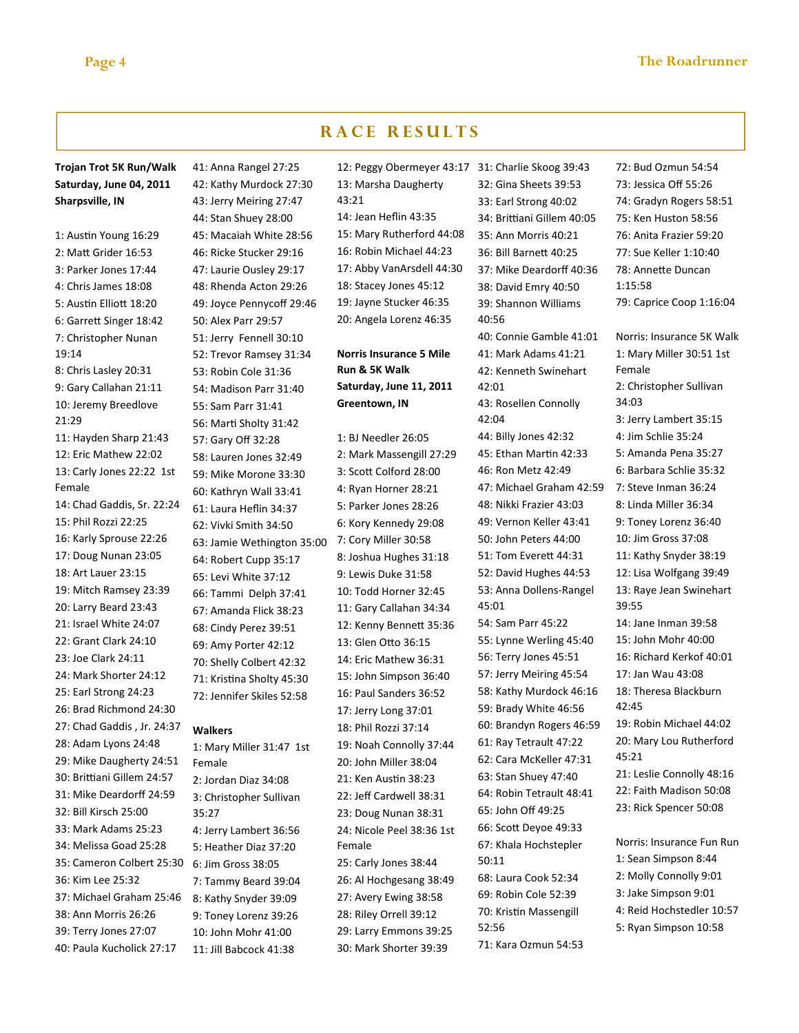### Trojan Trot 5K Run/Walk Saturday, June 04, 2011 Sharpsville, IN

1: Austin Young 16:29 2: Matt Grider 16:53 3: Parker Jones 17:44 4: Chris James 18:08 5: Austin Elliott 18:20 6: Garrett Singer 18:42 7: Christopher Nunan 19:14 8: Chris Lasley 20:31 9: Gary Callahan 21:11 10: Jeremy Breedlove 21:29 11: Hayden Sharp 21:43 12: Eric Mathew 22:02 13: Carly Jones 22:22 1st Female 14: Chad Gaddis, Sr. 22:24 15: Phil Rozzi 22:25 16: Karly Sprouse 22:26 17: Doug Nunan 23:05 18: Art Lauer 23:15 19: Mitch Ramsey 23:39 20: Larry Beard 23:43 21: Israel White 24:07 22: Grant Clark 24:10 23: Joe Clark 24:11 24: Mark Shorter 24:12 25: Earl Strong 24:23 26: Brad Richmond 24:30 27: Chad Gaddis , Jr. 24:37 28: Adam Lyons 24:48 29: Mike Daugherty 24:51 30: Brittiani Gillem 24:57 31: Mike Deardorff 24:59 32: Bill Kirsch 25:00 33: Mark Adams 25:23 34: Melissa Goad 25:28 35: Cameron Colbert 25:30 36: Kim Lee 25:32 37: Michael Graham 25:46 38: Ann Morris 26:26 39: Terry Jones 27:07 40: Paula Kucholick 27:17

41: Anna Rangel 27:25 42: Kathy Murdock 27:30 43: Jerry Meiring 27:47 44: Stan Shuey 28:00 45: Macaiah White 28:56 46: Ricke Stucker 29:16 47: Laurie Ousley 29:17 48: Rhenda Acton 29:26 49: Joyce Pennycoff 29:46 50: Alex Parr 29:57 51: Jerry Fennell 30:10 52: Trevor Ramsey 31:34 53: Robin Cole 31:36 54: Madison Parr 31:40 55: Sam Parr 31:41 56: Marti Sholty 31:42 57: Gary Off 32:28 58: Lauren Jones 32:49 59: Mike Morone 33:30 60: Kathryn Wall 33:41 61: Laura Heflin 34:37 62: Vivki Smith 34:50 63: Jamie Wethington 35:00 64: Robert Cupp 35:17 65: Levi White 37:12 66: Tammi Delph 37:41 67: Amanda Flick 38:23 68: Cindy Perez 39:51 69: Amy Porter 42:12 70: Shelly Colbert 42:32 71: Kristina Sholty 45:30 72: Jennifer Skiles 52:58 Walkers

1: Mary Miller 31:47 1st Female 2: Jordan Diaz 34:08 3: Christopher Sullivan 35:27 4: Jerry Lambert 36:56 5: Heather Diaz 37:20 6: Jim Gross 38:05 7: Tammy Beard 39:04 8: Kathy Snyder 39:09 9: Toney Lorenz 39:26 10: John Mohr 41:00 11: Jill Babcock 41:38

12: Peggy Obermeyer 43:17 31: Charlie Skoog 39:43 13: Marsha Daugherty 43:21 14: Jean Heflin 43:35 15: Mary Rutherford 44:08 16: Robin Michael 44:23 17: Abby VanArsdell 44:30 18: Stacey Jones 45:12 19: Jayne Stucker 46:35 20: Angela Lorenz 46:35

### Norris Insurance 5 Mile Run & 5K Walk Saturday, June 11, 2011 Greentown, IN

1: BJ Needler 26:05 2: Mark Massengill 27:29 3: Scott Colford 28:00 4: Ryan Horner 28:21 5: Parker Jones 28:26 6: Kory Kennedy 29:08 7: Cory Miller 30:58 8: Joshua Hughes 31:18 9: Lewis Duke 31:58 10: Todd Horner 32:45 11: Gary Callahan 34:34 12: Kenny Bennett 35:36 13: Glen Otto 36:15 14: Eric Mathew 36:31 15: John Simpson 36:40 16: Paul Sanders 36:52 17: Jerry Long 37:01 18: Phil Rozzi 37:14 19: Noah Connolly 37:44 20: John Miller 38:04 21: Ken Austin 38:23 22: Jeff Cardwell 38:31 23: Doug Nunan 38:31 24: Nicole Peel 38:36 1st Female 25: Carly Jones 38:44 26: Al Hochgesang 38:49 27: Avery Ewing 38:58 28: Riley Orrell 39:12 29: Larry Emmons 39:25 30: Mark Shorter 39:39

32: Gina Sheets 39:53 33: Earl Strong 40:02 34: Brittiani Gillem 40:05 35: Ann Morris 40:21 36: Bill Barnett 40:25 37: Mike Deardorff 40:36 38: David Emry 40:50 39: Shannon Williams 40:56 40: Connie Gamble 41:01 41: Mark Adams 41:21 42: Kenneth Swinehart 42:01 43: Rosellen Connolly 42:04 44: Billy Jones 42:32 45: Ethan Martin 42:33 46: Ron Metz 42:49 47: Michael Graham 42:59 48: Nikki Frazier 43:03 49: Vernon Keller 43:41 50: John Peters 44:00 51: Tom Everett 44:31 52: David Hughes 44:53 53: Anna Dollens-Rangel 45:01 54: Sam Parr 45:22 55: Lynne Werling 45:40 56: Terry Jones 45:51 57: Jerry Meiring 45:54 58: Kathy Murdock 46:16 59: Brady White 46:56 60: Brandyn Rogers 46:59 61: Ray Tetrault 47:22 62: Cara McKeller 47:31 63: Stan Shuey 47:40 64: Robin Tetrault 48:41 65: John Off 49:25 66: Scott Deyoe 49:33 67: Khala Hochstepler 50:11 68: Laura Cook 52:34 69: Robin Cole 52:39 70: Kristin Massengill 52:56 71: Kara Ozmun 54:53

72: Bud Ozmun 54:54 73: Jessica Off 55:26 74: Gradyn Rogers 58:51 75: Ken Huston 58:56 76: Anita Frazier 59:20 77: Sue Keller 1:10:40 78: Annette Duncan 1:15:58 79: Caprice Coop 1:16:04 Norris: Insurance 5K Walk 1: Mary Miller 30:51 1st Female 2: Christopher Sullivan 34:03 3: Jerry Lambert 35:15 4: Jim Schlie 35:24 5: Amanda Pena 35:27 6: Barbara Schlie 35:32 7: Steve Inman 36:24 8: Linda Miller 36:34 9: Toney Lorenz 36:40 10: Jim Gross 37:08 11: Kathy Snyder 38:19 12: Lisa Wolfgang 39:49 13: Raye Jean Swinehart 39:55 14: Jane Inman 39:58 15: John Mohr 40:00 16: Richard Kerkof 40:01 17: Jan Wau 43:08 18: Theresa Blackburn  $42.45$ 19: Robin Michael 44:02 20: Mary Lou Rutherford 45:21 21: Leslie Connolly 48:16 22: Faith Madison 50:08 23: Rick Spencer 50:08 Norris: Insurance Fun Run 1: Sean Simpson 8:44 2: Molly Connolly 9:01 3: Jake Simpson 9:01

- 4: Reid Hochstedler 10:57
- 5: Ryan Simpson 10:58

# RACE RESULTS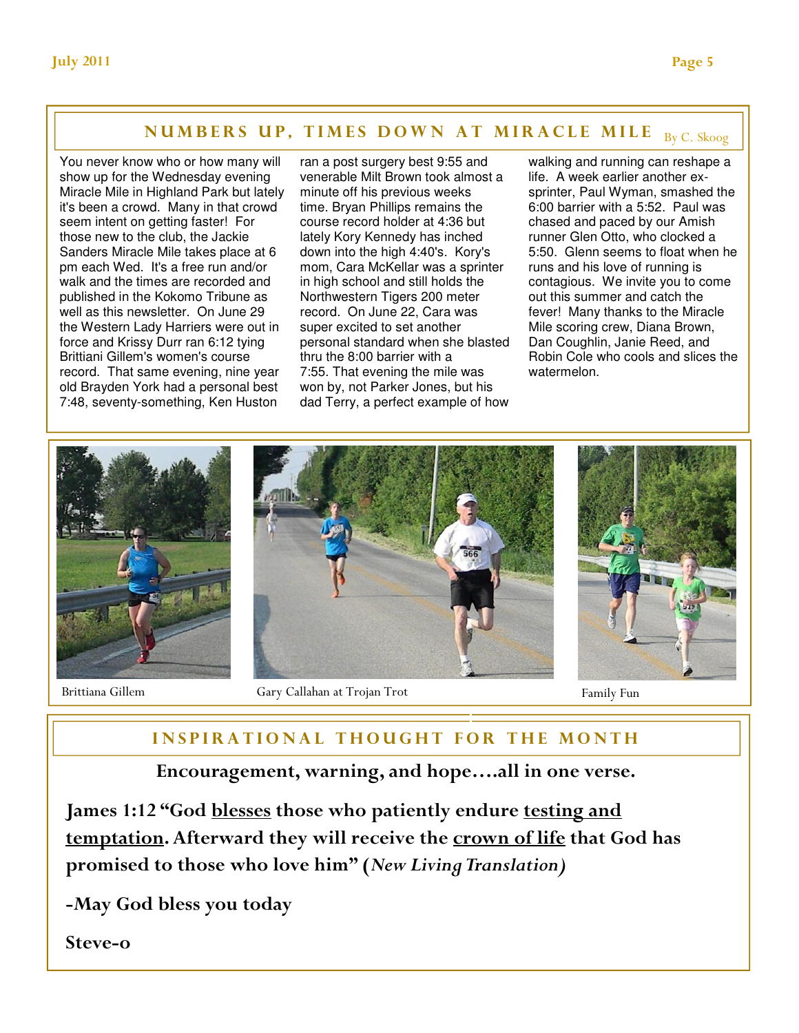# NUMBERS UP, TIMES DOWN AT MIRACLE MILE By C. Skoog

You never know who or how many will show up for the Wednesday evening Miracle Mile in Highland Park but lately it's been a crowd. Many in that crowd seem intent on getting faster! For those new to the club, the Jackie Sanders Miracle Mile takes place at 6 pm each Wed. It's a free run and/or walk and the times are recorded and published in the Kokomo Tribune as well as this newsletter. On June 29 the Western Lady Harriers were out in force and Krissy Durr ran 6:12 tying Brittiani Gillem's women's course record. That same evening, nine year old Brayden York had a personal best 7:48, seventy-something, Ken Huston

ran a post surgery best 9:55 and venerable Milt Brown took almost a minute off his previous weeks time. Bryan Phillips remains the course record holder at 4:36 but lately Kory Kennedy has inched down into the high 4:40's. Kory's mom, Cara McKellar was a sprinter in high school and still holds the Northwestern Tigers 200 meter record. On June 22, Cara was super excited to set another personal standard when she blasted thru the 8:00 barrier with a 7:55. That evening the mile was won by, not Parker Jones, but his dad Terry, a perfect example of how

walking and running can reshape a life. A week earlier another exsprinter, Paul Wyman, smashed the 6:00 barrier with a 5:52. Paul was chased and paced by our Amish runner Glen Otto, who clocked a 5:50. Glenn seems to float when he runs and his love of running is contagious. We invite you to come out this summer and catch the fever! Many thanks to the Miracle Mile scoring crew, Diana Brown, Dan Coughlin, Janie Reed, and Robin Cole who cools and slices the watermelon.



# INSPIRATIONAL THOUGHT FOR THE MONTH

# Encouragement, warning, and hope….all in one verse.

James 1:12 "God blesses those who patiently endure testing and temptation. Afterward they will receive the crown of life that God has promised to those who love him" (New Living Translation)

-May God bless you today

Steve-o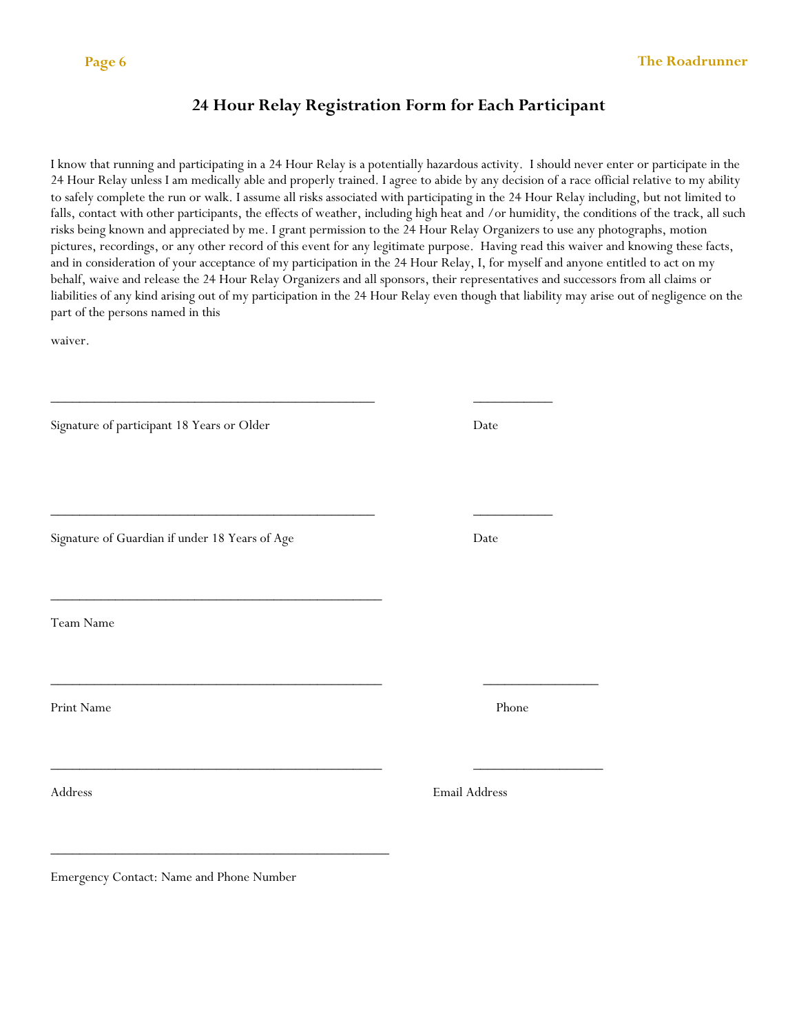# 24 Hour Relay Registration Form for Each Participant

I know that running and participating in a 24 Hour Relay is a potentially hazardous activity. I should never enter or participate in the 24 Hour Relay unless I am medically able and properly trained. I agree to abide by any decision of a race official relative to my ability to safely complete the run or walk. I assume all risks associated with participating in the 24 Hour Relay including, but not limited to falls, contact with other participants, the effects of weather, including high heat and /or humidity, the conditions of the track, all such risks being known and appreciated by me. I grant permission to the 24 Hour Relay Organizers to use any photographs, motion pictures, recordings, or any other record of this event for any legitimate purpose. Having read this waiver and knowing these facts, and in consideration of your acceptance of my participation in the 24 Hour Relay, I, for myself and anyone entitled to act on my behalf, waive and release the 24 Hour Relay Organizers and all sponsors, their representatives and successors from all claims or liabilities of any kind arising out of my participation in the 24 Hour Relay even though that liability may arise out of negligence on the part of the persons named in this

waiver.

| Signature of participant 18 Years or Older                                                             | Date          |  |
|--------------------------------------------------------------------------------------------------------|---------------|--|
| Signature of Guardian if under 18 Years of Age                                                         | Date          |  |
| the control of the control of the control of the control of the control of the control of<br>Team Name |               |  |
| Print Name                                                                                             | Phone         |  |
| Address                                                                                                | Email Address |  |
|                                                                                                        |               |  |

Emergency Contact: Name and Phone Number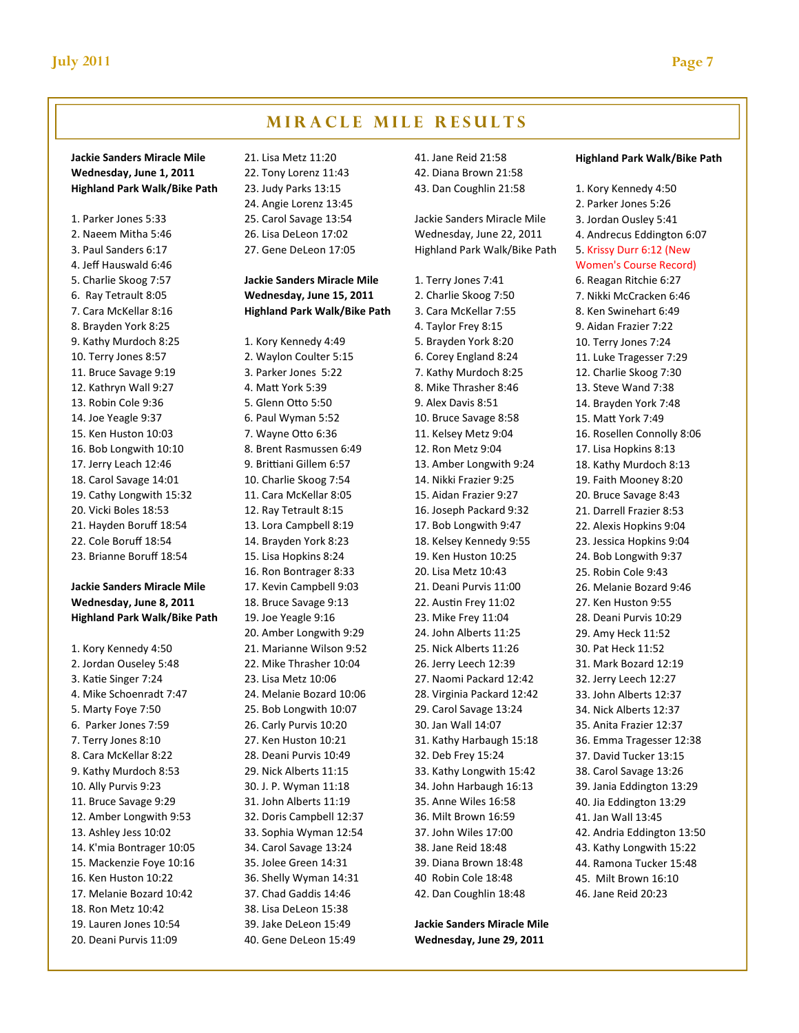# **MIRACLE MILE RESULTS**

### Jackie Sanders Miracle Mile Wednesday, June 1, 2011 Highland Park Walk/Bike Path

1. Parker Jones 5:33 2. Naeem Mitha 5:46 3. Paul Sanders 6:17 4. Jeff Hauswald 6:46 5. Charlie Skoog 7:57 6. Ray Tetrault 8:05 7. Cara McKellar 8:16 8. Brayden York 8:25 9. Kathy Murdoch 8:25 10. Terry Jones 8:57 11. Bruce Savage 9:19 12. Kathryn Wall 9:27 13. Robin Cole 9:36 14. Joe Yeagle 9:37 15. Ken Huston 10:03 16. Bob Longwith 10:10 17. Jerry Leach 12:46 18. Carol Savage 14:01 19. Cathy Longwith 15:32 20. Vicki Boles 18:53 21. Hayden Boruff 18:54 22. Cole Boruff 18:54 23. Brianne Boruff 18:54

### Jackie Sanders Miracle Mile Wednesday, June 8, 2011 Highland Park Walk/Bike Path

1. Kory Kennedy 4:50 2. Jordan Ouseley 5:48 3. Katie Singer 7:24 4. Mike Schoenradt 7:47 5. Marty Foye 7:50 6. Parker Jones 7:59 7. Terry Jones 8:10 8. Cara McKellar 8:22 9. Kathy Murdoch 8:53 10. Ally Purvis 9:23 11. Bruce Savage 9:29 12. Amber Longwith 9:53 13. Ashley Jess 10:02 14. K'mia Bontrager 10:05 15. Mackenzie Foye 10:16 16. Ken Huston 10:22 17. Melanie Bozard 10:42 18. Ron Metz 10:42 19. Lauren Jones 10:54 20. Deani Purvis 11:09

21. Lisa Metz 11:20 22. Tony Lorenz 11:43 23. Judy Parks 13:15 24. Angie Lorenz 13:45 25. Carol Savage 13:54 26. Lisa DeLeon 17:02 27. Gene DeLeon 17:05

### Jackie Sanders Miracle Mile Wednesday, June 15, 2011 Highland Park Walk/Bike Path

1. Kory Kennedy 4:49 2. Waylon Coulter 5:15 3. Parker Jones 5:22 4. Matt York 5:39 5. Glenn Otto 5:50 6. Paul Wyman 5:52 7. Wayne Otto 6:36 8. Brent Rasmussen 6:49 9. Brittiani Gillem 6:57 10. Charlie Skoog 7:54 11. Cara McKellar 8:05 12. Ray Tetrault 8:15 13. Lora Campbell 8:19 14. Brayden York 8:23 15. Lisa Hopkins 8:24 16. Ron Bontrager 8:33 17. Kevin Campbell 9:03 18. Bruce Savage 9:13 19. Joe Yeagle 9:16 20. Amber Longwith 9:29 21. Marianne Wilson 9:52 22. Mike Thrasher 10:04 23. Lisa Metz 10:06 24. Melanie Bozard 10:06 25. Bob Longwith 10:07 26. Carly Purvis 10:20 27. Ken Huston 10:21 28. Deani Purvis 10:49 29. Nick Alberts 11:15 30. J. P. Wyman 11:18 31. John Alberts 11:19 32. Doris Campbell 12:37 33. Sophia Wyman 12:54 34. Carol Savage 13:24 35. Jolee Green 14:31 36. Shelly Wyman 14:31 37. Chad Gaddis 14:46 38. Lisa DeLeon 15:38 39. Jake DeLeon 15:49 40. Gene DeLeon 15:49

41. Jane Reid 21:58 42. Diana Brown 21:58 43. Dan Coughlin 21:58

Jackie Sanders Miracle Mile Wednesday, June 22, 2011 Highland Park Walk/Bike Path

1. Terry Jones 7:41 2. Charlie Skoog 7:50 3. Cara McKellar 7:55 4. Taylor Frey 8:15 5. Brayden York 8:20 6. Corey England 8:24 7. Kathy Murdoch 8:25 8. Mike Thrasher 8:46 9. Alex Davis 8:51 10. Bruce Savage 8:58 11. Kelsey Metz 9:04 12. Ron Metz 9:04 13. Amber Longwith 9:24 14. Nikki Frazier 9:25 15. Aidan Frazier 9:27 16. Joseph Packard 9:32 17. Bob Longwith 9:47 18. Kelsey Kennedy 9:55 19. Ken Huston 10:25 20. Lisa Metz 10:43 21. Deani Purvis 11:00 22. Austin Frey 11:02 23. Mike Frey 11:04 24. John Alberts 11:25 25. Nick Alberts 11:26 26. Jerry Leech 12:39 27. Naomi Packard 12:42 28. Virginia Packard 12:42 29. Carol Savage 13:24 30. Jan Wall 14:07 31. Kathy Harbaugh 15:18 32. Deb Frey 15:24 33. Kathy Longwith 15:42 34. John Harbaugh 16:13 35. Anne Wiles 16:58 36. Milt Brown 16:59 37. John Wiles 17:00 38. Jane Reid 18:48 39. Diana Brown 18:48 40 Robin Cole 18:48 42. Dan Coughlin 18:48

Jackie Sanders Miracle Mile Wednesday, June 29, 2011

#### Highland Park Walk/Bike Path

1. Kory Kennedy 4:50 2. Parker Jones 5:26 3. Jordan Ousley 5:41 4. Andrecus Eddington 6:07 5. Krissy Durr 6:12 (New Women's Course Record) 6. Reagan Ritchie 6:27 7. Nikki McCracken 6:46 8. Ken Swinehart 6:49 9. Aidan Frazier 7:22 10. Terry Jones 7:24 11. Luke Tragesser 7:29 12. Charlie Skoog 7:30 13. Steve Wand 7:38 14. Brayden York 7:48 15. Matt York 7:49 16. Rosellen Connolly 8:06 17. Lisa Hopkins 8:13 18. Kathy Murdoch 8:13 19. Faith Mooney 8:20 20. Bruce Savage 8:43 21. Darrell Frazier 8:53 22. Alexis Hopkins 9:04 23. Jessica Hopkins 9:04 24. Bob Longwith 9:37 25. Robin Cole 9:43 26. Melanie Bozard 9:46 27. Ken Huston 9:55 28. Deani Purvis 10:29 29. Amy Heck 11:52 30. Pat Heck 11:52 31. Mark Bozard 12:19 32. Jerry Leech 12:27 33. John Alberts 12:37 34. Nick Alberts 12:37 35. Anita Frazier 12:37 36. Emma Tragesser 12:38 37. David Tucker 13:15 38. Carol Savage 13:26 39. Jania Eddington 13:29 40. Jia Eddington 13:29 41. Jan Wall 13:45 42. Andria Eddington 13:50 43. Kathy Longwith 15:22 44. Ramona Tucker 15:48 45. Milt Brown 16:10 46. Jane Reid 20:23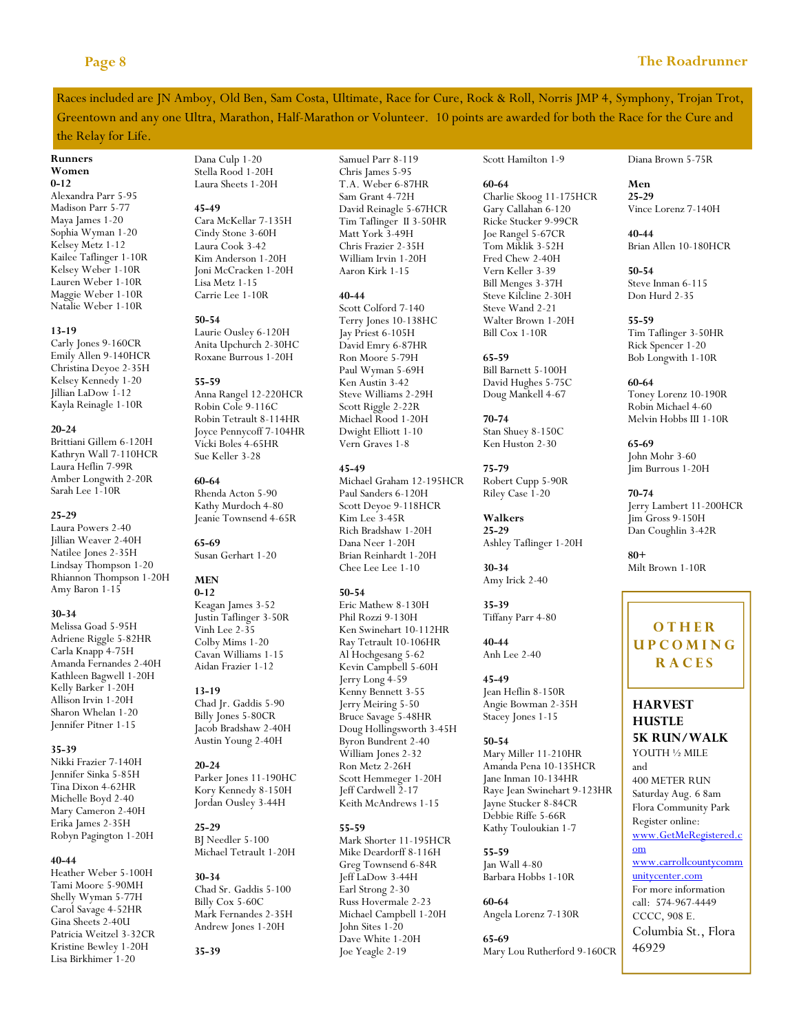Races included are JN Amboy, Old Ben, Sam Costa, Ultimate, Race for Cure, Rock & Roll, Norris JMP 4, Symphony, Trojan Trot, Greentown and any one Ultra, Marathon, Half-Marathon or Volunteer. 10 points are awarded for both the Race for the Cure and

### the Relay for Life.

#### Runners Women

 $0 - 12$ Alexandra Parr 5-95

Madison Parr 5-77 Maya James 1-20 Sophia Wyman 1-20 Kelsey Metz 1-12 Kailee Taflinger 1-10R Kelsey Weber 1-10R Lauren Weber 1-10R Maggie Weber 1-10R Natalie Weber 1-10R

### 13-19

Carly Jones 9-160CR Emily Allen 9-140HCR Christina Deyoe 2-35H Kelsey Kennedy 1-20 Jillian LaDow 1-12 Kayla Reinagle 1-10R

#### 20-24

Brittiani Gillem 6-120H Kathryn Wall 7-110HCR Laura Heflin 7-99R Amber Longwith 2-20R Sarah Lee 1-10R

#### 25-29

Laura Powers 2-40 Jillian Weaver 2-40H Natilee Jones 2-35H Lindsay Thompson 1-20 Rhiannon Thompson 1-20H Amy Baron 1-15

#### 30-34

Melissa Goad 5-95H Adriene Riggle 5-82HR Carla Knapp 4-75H Amanda Fernandes 2-40H Kathleen Bagwell 1-20H Kelly Barker 1-20H Allison Irvin 1-20H Sharon Whelan 1-20 Jennifer Pitner 1-15

#### 35-39

Nikki Frazier 7-140H Jennifer Sinka 5-85H Tina Dixon 4-62HR Michelle Boyd 2-40 Mary Cameron 2-40H Erika James 2-35H Robyn Pagington 1-20H

### 40-44

Heather Weber 5-100H Tami Moore 5-90MH Shelly Wyman 5-77H Carol Savage 4-52HR Gina Sheets 2-40U Patricia Weitzel 3-32CR Kristine Bewley 1-20H Lisa Birkhimer 1-20

Dana Culp 1-20 Stella Rood 1-20H Laura Sheets 1-20H

#### 45-49

Cara McKellar 7-135H Cindy Stone 3-60H Laura Cook 3-42 Kim Anderson 1-20H Joni McCracken 1-20H Lisa Metz 1-15 Carrie Lee 1-10R

#### 50-54

Laurie Ousley 6-120H Anita Upchurch 2-30HC Roxane Burrous 1-20H

#### 55-59

Anna Rangel 12-220HCR Robin Cole 9-116C Robin Tetrault 8-114HR Joyce Pennycoff 7-104HR Vicki Boles 4-65HR Sue Keller 3-28

60-64 Rhenda Acton 5-90 Kathy Murdoch 4-80 Jeanie Townsend 4-65R

65-69 Susan Gerhart 1-20

#### **MEN** 0-12

Keagan James 3-52 Justin Taflinger 3-50R Vinh Lee 2-35 Colby Mims 1-20 Cavan Williams 1-15 Aidan Frazier 1-12

### 13-19

Chad Jr. Gaddis 5-90 Billy Jones 5-80CR Jacob Bradshaw 2-40H Austin Young 2-40H

20-24 Parker Jones 11-190HC Kory Kennedy 8-150H Jordan Ousley 3-44H

25-29 BJ Needler 5-100 Michael Tetrault 1-20H

#### 30-34 Chad Sr. Gaddis 5-100 Billy Cox 5-60C Mark Fernandes 2-35H Andrew Jones 1-20H

35-39

Samuel Parr 8-119 Chris James 5-95 T.A. Weber 6-87HR Sam Grant 4-72H David Reinagle 5-67HCR Tim Taflinger II 3-50HR Matt York 3-49H Chris Frazier 2-35H William Irvin 1-20H Aaron Kirk 1-15

#### 40-44

Scott Colford 7-140 Terry Jones 10-138HC Jay Priest 6-105H David Emry 6-87HR Ron Moore 5-79H Paul Wyman 5-69H Ken Austin 3-42 Steve Williams 2-29H Scott Riggle 2-22R Michael Rood 1-20H Dwight Elliott 1-10 Vern Graves 1-8

### 45-49

Michael Graham 12-195HCR Paul Sanders 6-120H Scott Deyoe 9-118HCR Kim Lee 3-45R Rich Bradshaw 1-20H Dana Neer 1-20H Brian Reinhardt 1-20H Chee Lee Lee 1-10

### 50-54

Eric Mathew 8-130H Phil Rozzi 9-130H Ken Swinehart 10-112HR Ray Tetrault 10-106HR Al Hochgesang 5-62 Kevin Campbell 5-60H Jerry Long 4-59 Kenny Bennett 3-55 Jerry Meiring 5-50 Bruce Savage 5-48HR Doug Hollingsworth 3-45H Byron Bundrent 2-40 William Jones 2-32 Ron Metz 2-26H Scott Hemmeger 1-20H Jeff Cardwell 2-17 Keith McAndrews 1-15

### 55-59

Mark Shorter 11-195HCR Mike Deardorff 8-116H Greg Townsend 6-84R Jeff LaDow 3-44H Earl Strong 2-30 Russ Hovermale 2-23 Michael Campbell 1-20H John Sites 1-20 Dave White 1-20H Joe Yeagle 2-19

Scott Hamilton 1-9

Charlie Skoog 11-175HCR Gary Callahan 6-120 Ricke Stucker 9-99CR Joe Rangel 5-67CR Tom Miklik 3-52H Fred Chew 2-40H Vern Keller 3-39 Bill Menges 3-37H Steve Kilcline 2-30H Steve Wand 2-21 Walter Brown 1-20H Bill Cox 1-10R

60-64

65-59

70-74

75-79

Walkers 25-29

30-34 Amy Irick 2-40

35-39

40-44 Anh Lee 2-40

45-49

50-54

55-59 Jan Wall 4-80 Barbara Hobbs 1-10R

60-64

65-69

Tiffany Parr 4-80

Jean Heflin 8-150R Angie Bowman 2-35H Stacey Jones 1-15

Mary Miller 11-210HR Amanda Pena 10-135HCR Jane Inman 10-134HR Raye Jean Swinehart 9-123HR Jayne Stucker 8-84CR Debbie Riffe 5-66R Kathy Touloukian 1-7

Angela Lorenz 7-130R

Mary Lou Rutherford 9-160CR

Bill Barnett 5-100H David Hughes 5-75C Doug Mankell 4-67

Stan Shuey 8-150C Ken Huston 2-30

Robert Cupp 5-90R Riley Case 1-20

Ashley Taflinger 1-20H

Diana Brown 5-75R

Men 25-29 Vince Lorenz 7-140H

40-44 Brian Allen 10-180HCR

50-54 Steve Inman 6-115 Don Hurd 2-35

55-59 Tim Taflinger 3-50HR Rick Spencer 1-20 Bob Longwith 1-10R

#### 60-64 Toney Lorenz 10-190R Robin Michael 4-60 Melvin Hobbs III 1-10R

65-69 John Mohr 3-60 Jim Burrous 1-20H

70-74 Jerry Lambert 11-200HCR Jim Gross 9-150H Dan Coughlin 3-42R

80+ Milt Brown 1-10R

# **OTHER UPCOMING** R A C E S

### HARVEST **HUSTLE** 5K RUN/WALK

YOUTH ½ MILE

and 400 METER RUN Saturday Aug. 6 8am Flora Community Park Register online:

www.GetMeRegistered.c om

www.carrollcountycomm unitycenter.com For more information

call: 574-967-4449 CCCC, 908 E. Columbia St., Flora

46929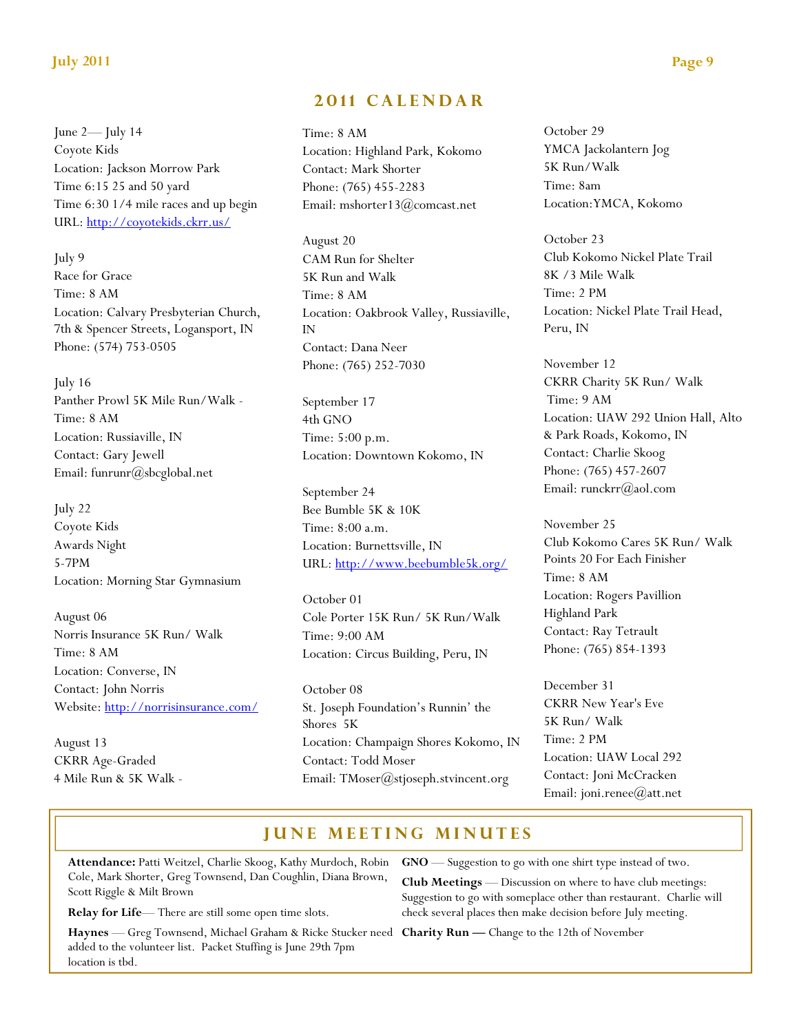### July 2011 Page 9

June 2— July 14 Coyote Kids Location: Jackson Morrow Park Time 6:15 25 and 50 yard Time 6:30 1/4 mile races and up begin URL: http://coyotekids.ckrr.us/

July 9 Race for Grace Time: 8 AM Location: Calvary Presbyterian Church, 7th & Spencer Streets, Logansport, IN Phone: (574) 753-0505

July 16 Panther Prowl 5K Mile Run/Walk - Time: 8 AM Location: Russiaville, IN Contact: Gary Jewell Email: funrunr@sbcglobal.net

July 22 Coyote Kids Awards Night 5-7PM Location: Morning Star Gymnasium

August 06 Norris Insurance 5K Run/ Walk Time: 8 AM Location: Converse, IN Contact: John Norris Website: http://norrisinsurance.com/

August 13 CKRR Age-Graded 4 Mile Run & 5K Walk -

# 2011 CALENDAR

Time: 8 AM Location: Highland Park, Kokomo Contact: Mark Shorter Phone: (765) 455-2283 Email: mshorter13@comcast.net

August 20 CAM Run for Shelter 5K Run and Walk Time: 8 AM Location: Oakbrook Valley, Russiaville, IN Contact: Dana Neer Phone: (765) 252-7030

September 17 4th GNO Time: 5:00 p.m. Location: Downtown Kokomo, IN

September 24 Bee Bumble 5K & 10K Time: 8:00 a.m. Location: Burnettsville, IN URL: http://www.beebumble5k.org/

October 01 Cole Porter 15K Run/ 5K Run/Walk Time: 9:00 AM Location: Circus Building, Peru, IN

October 08 St. Joseph Foundation's Runnin' the Shores 5K Location: Champaign Shores Kokomo, IN Contact: Todd Moser Email: TMoser@stjoseph.stvincent.org

October 29 YMCA Jackolantern Jog 5K Run/Walk Time: 8am Location:YMCA, Kokomo

October 23 Club Kokomo Nickel Plate Trail 8K /3 Mile Walk Time: 2 PM Location: Nickel Plate Trail Head, Peru, IN

November 12 CKRR Charity 5K Run/ Walk Time: 9 AM Location: UAW 292 Union Hall, Alto & Park Roads, Kokomo, IN Contact: Charlie Skoog Phone: (765) 457-2607 Email: runckrr(a)aol.com

November 25 Club Kokomo Cares 5K Run/ Walk Points 20 For Each Finisher Time: 8 AM Location: Rogers Pavillion Highland Park Contact: Ray Tetrault Phone: (765) 854-1393

December 31 CKRR New Year's Eve 5K Run/ Walk Time: 2 PM Location: UAW Local 292 Contact: Joni McCracken Email: joni.renee@att.net

# **JUNE MEETING MINUTES**

Attendance: Patti Weitzel, Charlie Skoog, Kathy Murdoch, Robin Cole, Mark Shorter, Greg Townsend, Dan Coughlin, Diana Brown, Scott Riggle & Milt Brown

Relay for Life— There are still some open time slots.

Haynes — Greg Townsend, Michael Graham & Ricke Stucker need Charity Run — Change to the 12th of November added to the volunteer list. Packet Stuffing is June 29th 7pm location is tbd.

GNO — Suggestion to go with one shirt type instead of two.

Club Meetings — Discussion on where to have club meetings: Suggestion to go with someplace other than restaurant. Charlie will check several places then make decision before July meeting.